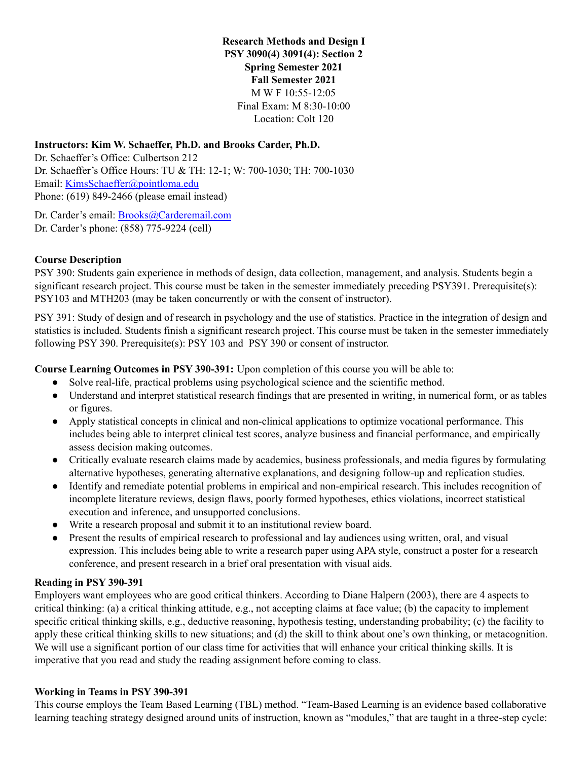**Research Methods and Design I PSY 3090(4) 3091(4): Section 2 Spring Semester 2021 Fall Semester 2021** M W F 10:55-12:05 Final Exam: M 8:30-10:00 Location: Colt 120

## **Instructors: Kim W. Schaeffer, Ph.D. and Brooks Carder, Ph.D.**

Dr. Schaeffer's Office: Culbertson 212 Dr. Schaeffer's Office Hours: TU & TH: 12-1; W: 700-1030; TH: 700-1030 Email: KimsSchaeffer@pointloma.edu Phone: (619) 849-2466 (please email instead)

Dr. Carder's email: [Brooks@Carderemail.com](mailto:Brooks@Carderemail.com) Dr. Carder's phone: (858) 775-9224 (cell)

### **Course Description**

PSY 390: Students gain experience in methods of design, data collection, management, and analysis. Students begin a significant research project. This course must be taken in the semester immediately preceding PSY391. Prerequisite(s): PSY103 and MTH203 (may be taken concurrently or with the consent of instructor).

PSY 391: Study of design and of research in psychology and the use of statistics. Practice in the integration of design and statistics is included. Students finish a significant research project. This course must be taken in the semester immediately following PSY 390. Prerequisite(s): PSY 103 and PSY 390 or consent of instructor.

**Course Learning Outcomes in PSY 390-391:** Upon completion of this course you will be able to:

- Solve real-life, practical problems using psychological science and the scientific method.
- Understand and interpret statistical research findings that are presented in writing, in numerical form, or as tables or figures.
- Apply statistical concepts in clinical and non-clinical applications to optimize vocational performance. This includes being able to interpret clinical test scores, analyze business and financial performance, and empirically assess decision making outcomes.
- Critically evaluate research claims made by academics, business professionals, and media figures by formulating alternative hypotheses, generating alternative explanations, and designing follow-up and replication studies.
- Identify and remediate potential problems in empirical and non-empirical research. This includes recognition of incomplete literature reviews, design flaws, poorly formed hypotheses, ethics violations, incorrect statistical execution and inference, and unsupported conclusions.
- Write a research proposal and submit it to an institutional review board.
- Present the results of empirical research to professional and lay audiences using written, oral, and visual expression. This includes being able to write a research paper using APA style, construct a poster for a research conference, and present research in a brief oral presentation with visual aids.

## **Reading in PSY 390-391**

Employers want employees who are good critical thinkers. According to Diane Halpern (2003), there are 4 aspects to critical thinking: (a) a critical thinking attitude, e.g., not accepting claims at face value; (b) the capacity to implement specific critical thinking skills, e.g., deductive reasoning, hypothesis testing, understanding probability; (c) the facility to apply these critical thinking skills to new situations; and (d) the skill to think about one's own thinking, or metacognition. We will use a significant portion of our class time for activities that will enhance your critical thinking skills. It is imperative that you read and study the reading assignment before coming to class.

## **Working in Teams in PSY 390-391**

This course employs the Team Based Learning (TBL) method. "Team-Based Learning is an evidence based collaborative learning teaching strategy designed around units of instruction, known as "modules," that are taught in a three-step cycle: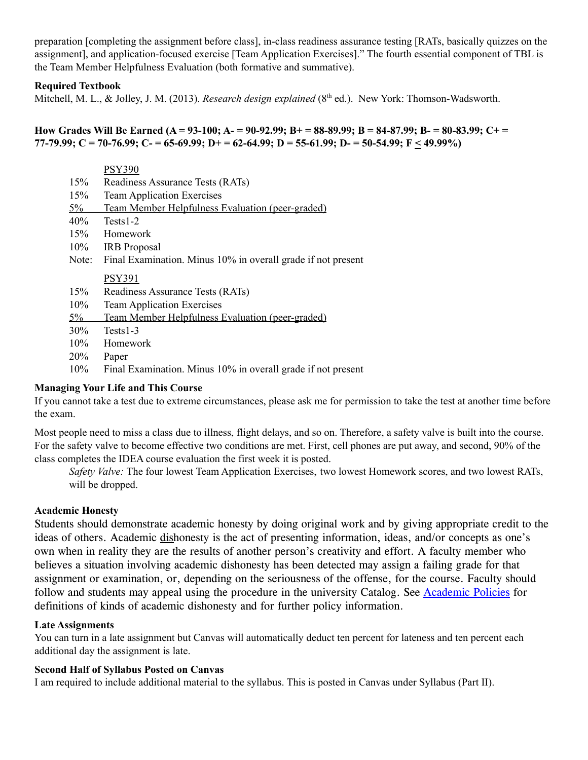preparation [completing the assignment before class], in-class readiness assurance testing [RATs, basically quizzes on the assignment], and application-focused exercise [Team Application Exercises]." The fourth essential component of TBL is the Team Member Helpfulness Evaluation (both formative and summative).

### **Required Textbook**

Mitchell, M. L., & Jolley, J. M. (2013). *Research design explained* (8 th ed.). New York: Thomson-Wadsworth.

How Grades Will Be Earned (A = 93-100; A- = 90-92.99; B+ = 88-89.99; B = 84-87.99; B- = 80-83.99; C+ = 77-79.99; C = 70-76.99; C = 65-69.99; D + = 62-64.99; D = 55-61.99; D = 50-54.99; F < 49.99%)

|        | <b>PSY390</b>                                                |
|--------|--------------------------------------------------------------|
| 15%    | Readiness Assurance Tests (RATs)                             |
| 15%    | <b>Team Application Exercises</b>                            |
| $5\%$  | Team Member Helpfulness Evaluation (peer-graded)             |
| 40%    | Tests1-2                                                     |
| 15%    | Homework                                                     |
| $10\%$ | <b>IRB</b> Proposal                                          |
| Note:  | Final Examination. Minus 10% in overall grade if not present |
|        |                                                              |
|        | <b>PSY391</b>                                                |
| 15%    | Readiness Assurance Tests (RATs)                             |
| 10%    | <b>Team Application Exercises</b>                            |
| $5\%$  | Team Member Helpfulness Evaluation (peer-graded)             |
| 30%    | $Tests1-3$                                                   |
| 10%    | Homework                                                     |
| 20%    | Paper                                                        |
| 10%    | Final Examination. Minus 10% in overall grade if not present |

## **Managing Your Life and This Course**

If you cannot take a test due to extreme circumstances, please ask me for permission to take the test at another time before the exam.

Most people need to miss a class due to illness, flight delays, and so on. Therefore, a safety valve is built into the course. For the safety valve to become effective two conditions are met. First, cell phones are put away, and second, 90% of the class completes the IDEA course evaluation the first week it is posted.

*Safety Valve:* The four lowest Team Application Exercises, two lowest Homework scores, and two lowest RATs, will be dropped.

### **Academic Honesty**

Students should demonstrate academic honesty by doing original work and by giving appropriate credit to the ideas of others. Academic dishonesty is the act of presenting information, ideas, and/or concepts as one's own when in reality they are the results of another person's creativity and effort. A faculty member who believes a situation involving academic dishonesty has been detected may assign a failing grade for that assignment or examination, or, depending on the seriousness of the offense, for the course. Faculty should follow and students may appeal using the procedure in the university Catalog. See Academic Policies for definitions of kinds of academic dishonesty and for further policy information.

### **Late Assignments**

You can turn in a late assignment but Canvas will automatically deduct ten percent for lateness and ten percent each additional day the assignment is late.

### **Second Half of Syllabus Posted on Canvas**

I am required to include additional material to the syllabus. This is posted in Canvas under Syllabus (Part II).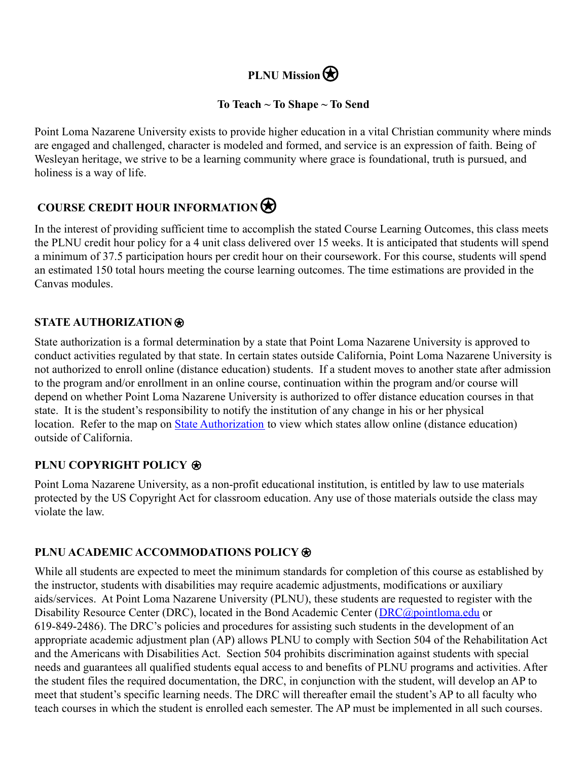# **PLNU Mission**

# **To Teach ~ To Shape ~ To Send**

Point Loma Nazarene University exists to provide higher education in a vital Christian community where minds are engaged and challenged, character is modeled and formed, and service is an expression of faith. Being of Wesleyan heritage, we strive to be a learning community where grace is foundational, truth is pursued, and holiness is a way of life.

# **COURSE CREDIT HOUR INFORMATION**

In the interest of providing sufficient time to accomplish the stated Course Learning Outcomes, this class meets the PLNU credit hour policy for a 4 unit class delivered over 15 weeks. It is anticipated that students will spend a minimum of 37.5 participation hours per credit hour on their coursework. For this course, students will spend an estimated 150 total hours meeting the course learning outcomes. The time estimations are provided in the Canvas modules.

# **STATE AUTHORIZATION**⍟

State authorization is a formal determination by a state that Point Loma Nazarene University is approved to conduct activities regulated by that state. In certain states outside California, Point Loma Nazarene University is not authorized to enroll online (distance education) students. If a student moves to another state after admission to the program and/or enrollment in an online course, continuation within the program and/or course will depend on whether Point Loma Nazarene University is authorized to offer distance education courses in that state. It is the student's responsibility to notify the institution of any change in his or her physical location. Refer to the map on [State Authorization](https://www.pointloma.edu/offices/office-institutional-effectiveness-research/disclosures) to view which states allow online (distance education) outside of California.

## **PLNU COPYRIGHT POLICY <b>⊛**

Point Loma Nazarene University, as a non-profit educational institution, is entitled by law to use materials protected by the US Copyright Act for classroom education. Any use of those materials outside the class may violate the law.

# **PLNU ACADEMIC ACCOMMODATIONS POLICY**

While all students are expected to meet the minimum standards for completion of this course as established by the instructor, students with disabilities may require academic adjustments, modifications or auxiliary aids/services. At Point Loma Nazarene University (PLNU), these students are requested to register with the Disability Resource Center (DRC), located in the Bond Academic Center (*[DRC@pointloma.edu](mailto:DRC@pointloma.edu)* or 619-849-2486). The DRC's policies and procedures for assisting such students in the development of an appropriate academic adjustment plan (AP) allows PLNU to comply with Section 504 of the Rehabilitation Act and the Americans with Disabilities Act. Section 504 prohibits discrimination against students with special needs and guarantees all qualified students equal access to and benefits of PLNU programs and activities. After the student files the required documentation, the DRC, in conjunction with the student, will develop an AP to meet that student's specific learning needs. The DRC will thereafter email the student's AP to all faculty who teach courses in which the student is enrolled each semester. The AP must be implemented in all such courses.